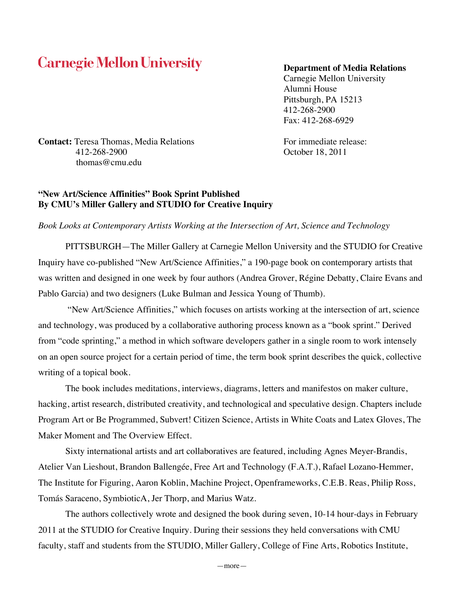# **Carnegie Mellon University**

### **Department of Media Relations**

Carnegie Mellon University Alumni House Pittsburgh, PA 15213 412-268-2900 Fax: 412-268-6929

**Contact:** Teresa Thomas, Media Relations For immediate release: 412-268-2900 October 18, 2011 thomas@cmu.edu

## **"New Art/Science Affinities" Book Sprint Published By CMU's Miller Gallery and STUDIO for Creative Inquiry**

## *Book Looks at Contemporary Artists Working at the Intersection of Art, Science and Technology*

PITTSBURGH—The Miller Gallery at Carnegie Mellon University and the STUDIO for Creative Inquiry have co-published "New Art/Science Affinities," a 190-page book on contemporary artists that was written and designed in one week by four authors (Andrea Grover, Régine Debatty, Claire Evans and Pablo Garcia) and two designers (Luke Bulman and Jessica Young of Thumb).

"New Art/Science Affinities," which focuses on artists working at the intersection of art, science and technology, was produced by a collaborative authoring process known as a "book sprint." Derived from "code sprinting," a method in which software developers gather in a single room to work intensely on an open source project for a certain period of time, the term book sprint describes the quick, collective writing of a topical book.

The book includes meditations, interviews, diagrams, letters and manifestos on maker culture, hacking, artist research, distributed creativity, and technological and speculative design. Chapters include Program Art or Be Programmed, Subvert! Citizen Science, Artists in White Coats and Latex Gloves, The Maker Moment and The Overview Effect.

Sixty international artists and art collaboratives are featured, including Agnes Meyer-Brandis, Atelier Van Lieshout, Brandon Ballengée, Free Art and Technology (F.A.T.), Rafael Lozano-Hemmer, The Institute for Figuring, Aaron Koblin, Machine Project, Openframeworks, C.E.B. Reas, Philip Ross, Tomás Saraceno, SymbioticA, Jer Thorp, and Marius Watz.

The authors collectively wrote and designed the book during seven, 10-14 hour-days in February 2011 at the STUDIO for Creative Inquiry. During their sessions they held conversations with CMU faculty, staff and students from the STUDIO, Miller Gallery, College of Fine Arts, Robotics Institute,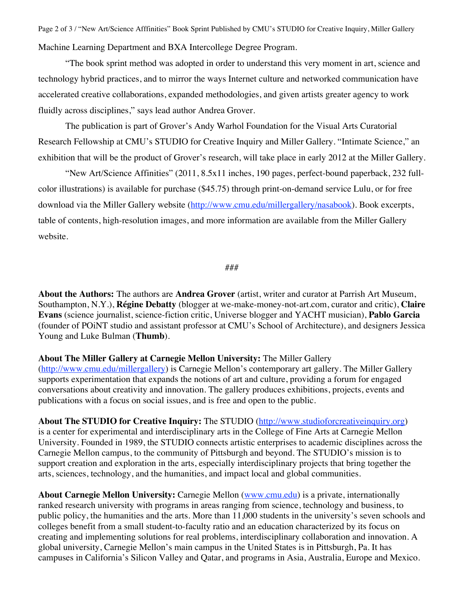Page 2 of 3 / "New Art/Science Afffinities" Book Sprint Published by CMU's STUDIO for Creative Inquiry, Miller Gallery Machine Learning Department and BXA Intercollege Degree Program.

"The book sprint method was adopted in order to understand this very moment in art, science and technology hybrid practices, and to mirror the ways Internet culture and networked communication have accelerated creative collaborations, expanded methodologies, and given artists greater agency to work fluidly across disciplines," says lead author Andrea Grover.

The publication is part of Grover's Andy Warhol Foundation for the Visual Arts Curatorial Research Fellowship at CMU's STUDIO for Creative Inquiry and Miller Gallery. "Intimate Science," an exhibition that will be the product of Grover's research, will take place in early 2012 at the Miller Gallery.

"New Art/Science Affinities" (2011, 8.5x11 inches, 190 pages, perfect-bound paperback, 232 fullcolor illustrations) is available for purchase (\$45.75) through print-on-demand service Lulu, or for free download via the Miller Gallery website (http://www.cmu.edu/millergallery/nasabook). Book excerpts, table of contents, high-resolution images, and more information are available from the Miller Gallery website.

### ###

**About the Authors:** The authors are **Andrea Grover** (artist, writer and curator at Parrish Art Museum, Southampton, N.Y.), **Régine Debatty** (blogger at we-make-money-not-art.com, curator and critic), **Claire Evans** (science journalist, science-fiction critic, Universe blogger and YACHT musician), **Pablo Garcia** (founder of POiNT studio and assistant professor at CMU's School of Architecture), and designers Jessica Young and Luke Bulman (**Thumb**).

**About The Miller Gallery at Carnegie Mellon University:** The Miller Gallery (http://www.cmu.edu/millergallery) is Carnegie Mellon's contemporary art gallery. The Miller Gallery supports experimentation that expands the notions of art and culture, providing a forum for engaged conversations about creativity and innovation. The gallery produces exhibitions, projects, events and publications with a focus on social issues, and is free and open to the public.

**About The STUDIO for Creative Inquiry:** The STUDIO (http://www.studioforcreativeinquiry.org) is a center for experimental and interdisciplinary arts in the College of Fine Arts at Carnegie Mellon University. Founded in 1989, the STUDIO connects artistic enterprises to academic disciplines across the Carnegie Mellon campus, to the community of Pittsburgh and beyond. The STUDIO's mission is to support creation and exploration in the arts, especially interdisciplinary projects that bring together the arts, sciences, technology, and the humanities, and impact local and global communities.

**About Carnegie Mellon University:** Carnegie Mellon (www.cmu.edu) is a private, internationally ranked research university with programs in areas ranging from science, technology and business, to public policy, the humanities and the arts. More than 11,000 students in the university's seven schools and colleges benefit from a small student-to-faculty ratio and an education characterized by its focus on creating and implementing solutions for real problems, interdisciplinary collaboration and innovation. A global university, Carnegie Mellon's main campus in the United States is in Pittsburgh, Pa. It has campuses in California's Silicon Valley and Qatar, and programs in Asia, Australia, Europe and Mexico.